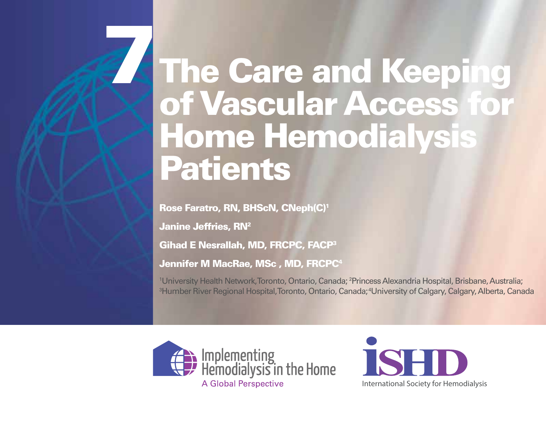# The Care and Keeping of Vascular Access for Home Hemodialysis Patients

Rose Faratro, RN, BHScN, CNeph(C)1

Janine Jeffries, RN<sup>2</sup>

7

Gihad E Nesrallah, MD, FRCPC, FACP3

Jennifer M MacRae, MSc , MD, FRCPC4

1 University Health Network, Toronto, Ontario, Canada; 2 Princess Alexandria Hospital, Brisbane, Australia; 3 Humber River Regional Hospital, Toronto, Ontario, Canada; 4University of Calgary, Calgary, Alberta, Canada



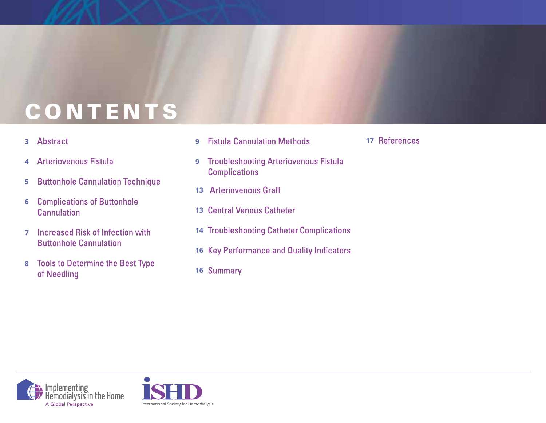# **CONTENTS**

Vascular Access in the United States in the United States in the United States in the United States in the United States in the United States in the United States in the United States in the United States in the United Sta

Abstract **3**

2

- **Arteriovenous Fistula 4**
- **Buttonhole Cannulation Technique 5**
- **Complications of Buttonhole 6 Cannulation**
- **Increased Risk of Infection with 7 Buttonhole Cannulation**
- **Tools to Determine the Best Type 8** of Needling
- **Fistula Cannulation Methods 9**
- **17**
- **Troubleshooting Arteriovenous Fistula 9 Complications**
- **13 Arteriovenous Graft**
- **13 Central Venous Catheter**
- **14 Troubleshooting Catheter Complications**
- **16 Key Performance and Quality Indicators**
- **16**



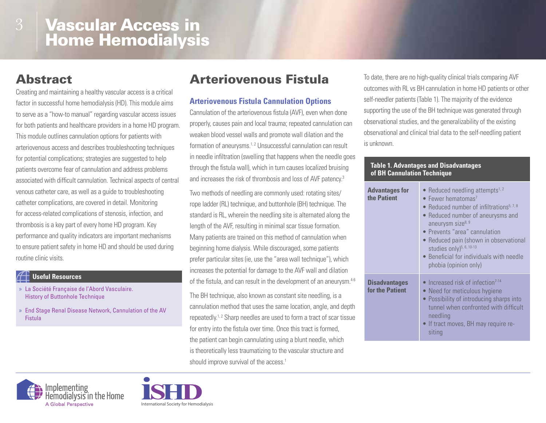# Abstract

3

Creating and maintaining a healthy vascular access is a critical factor in successful home hemodialysis (HD). This module aims to serve as a "how-to manual" regarding vascular access issues for both patients and healthcare providers in a home HD program. This module outlines cannulation options for patients with arteriovenous access and describes troubleshooting techniques for potential complications; strategies are suggested to help patients overcome fear of cannulation and address problems associated with difficult cannulation. Technical aspects of central venous catheter care, as well as a guide to troubleshooting catheter complications, are covered in detail. Monitoring for access-related complications of stenosis, infection, and thrombosis is a key part of every home HD program. Key performance and quality indicators are important mechanisms to ensure patient safety in home HD and should be used during routine clinic visits.

#### **Useful Resources**

- » La Société Française de l'Abord Vasculaire. History of Buttonhole Technique
- » End Stage Renal Disease Network, Cannulation of the AV Fistula

### Arteriovenous Fistula

#### **Arteriovenous Fistula Cannulation Options**

Cannulation of the arteriovenous fistula (AVF), even when done properly, causes pain and local trauma; repeated cannulation can weaken blood vessel walls and promote wall dilation and the formation of aneurysms.<sup>1,2</sup> Unsuccessful cannulation can result in needle infiltration (swelling that happens when the needle goes through the fistula wall), which in turn causes localized bruising and increases the risk of thrombosis and loss of AVF patency.3

Two methods of needling are commonly used: rotating sites/ rope ladder (RL) technique, and buttonhole (BH) technique. The standard is RL, wherein the needling site is alternated along the length of the AVF, resulting in minimal scar tissue formation. Many patients are trained on this method of cannulation when beginning home dialysis. While discouraged, some patients prefer particular sites (ie, use the "area wall technique"), which increases the potential for damage to the AVF wall and dilation of the fistula, and can result in the development of an aneurysm.<sup>4-6</sup>

The BH technique, also known as constant site needling, is a cannulation method that uses the same location, angle, and depth repeatedly.<sup>1, 2</sup> Sharp needles are used to form a tract of scar tissue for entry into the fistula over time. Once this tract is formed, the patient can begin cannulating using a blunt needle, which is theoretically less traumatizing to the vascular structure and should improve survival of the access.<sup>1</sup>

To date, there are no high-quality clinical trials comparing AVF outcomes with RL vs BH cannulation in home HD patients or other self-needler patients (Table 1). The majority of the evidence supporting the use of the BH technique was generated through observational studies, and the generalizability of the existing observational and clinical trial data to the self-needling patient is unknown.

| <b>Table 1. Advantages and Disadvantages</b><br>of BH Cannulation Technique |                                                                                                                                                                                                                                                                                                                                                                                                             |  |  |
|-----------------------------------------------------------------------------|-------------------------------------------------------------------------------------------------------------------------------------------------------------------------------------------------------------------------------------------------------------------------------------------------------------------------------------------------------------------------------------------------------------|--|--|
| <b>Advantages for</b><br>the Patient                                        | • Reduced needling attempts <sup>1, 2</sup><br>$\bullet$ Fewer hematomas <sup>7</sup><br>• Reduced number of infiltrations <sup>5, 7, 8</sup><br>• Reduced number of aneurysms and<br>aneurysm size <sup>8, 9</sup><br>• Prevents "area" cannulation<br>• Reduced pain (shown in observational<br>studies only) <sup>5, 6, 10-13</sup><br>• Beneficial for individuals with needle<br>phobia (opinion only) |  |  |
| <b>Disadvantages</b><br>for the Patient                                     | $\bullet$ Increased risk of infection <sup>7-14</sup><br>• Need for meticulous hygiene<br>• Possibility of introducing sharps into<br>tunnel when confronted with difficult<br>needling<br>• If tract moves, BH may require re-<br>siting                                                                                                                                                                   |  |  |



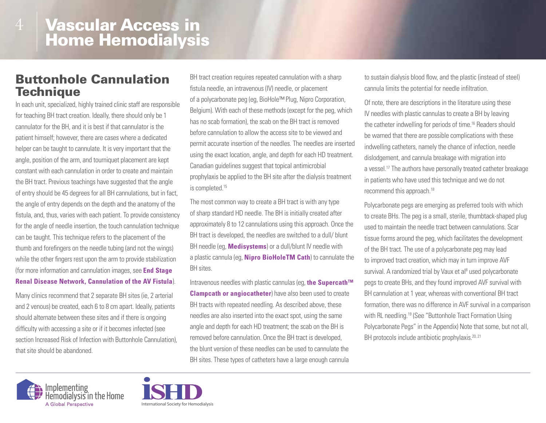### Buttonhole Cannulation **Technique**

In each unit, specialized, highly trained clinic staff are responsible for teaching BH tract creation. Ideally, there should only be 1 cannulator for the BH, and it is best if that cannulator is the patient himself; however, there are cases where a dedicated helper can be taught to cannulate. It is very important that the angle, position of the arm, and tourniquet placement are kept constant with each cannulation in order to create and maintain the BH tract. Previous teachings have suggested that the angle of entry should be 45 degrees for all BH cannulations, but in fact, the angle of entry depends on the depth and the anatomy of the fistula, and, thus, varies with each patient. To provide consistency for the angle of needle insertion, the touch cannulation technique can be taught. This technique refers to the placement of the thumb and forefingers on the needle tubing (and not the wings) while the other fingers rest upon the arm to provide stabilization (for more information and cannulation images, see **End Stage Renal Disease Network, Cannulation of the AV Fistula**).

Many clinics recommend that 2 separate BH sites (ie, 2 arterial and 2 venous) be created, each 6 to 8 cm apart. Ideally, patients should alternate between these sites and if there is ongoing difficulty with accessing a site or if it becomes infected (see section Increased Risk of Infection with Buttonhole Cannulation), that site should be abandoned.

BH tract creation requires repeated cannulation with a sharp fistula needle, an intravenous (IV) needle, or placement of a polycarbonate peg (eg, BioHole™ Plug, Nipro Corporation, Belgium). With each of these methods (except for the peg, which has no scab formation), the scab on the BH tract is removed before cannulation to allow the access site to be viewed and permit accurate insertion of the needles. The needles are inserted using the exact location, angle, and depth for each HD treatment. Canadian guidelines suggest that topical antimicrobial prophylaxis be applied to the BH site after the dialysis treatment is completed.15

The most common way to create a BH tract is with any type of sharp standard HD needle. The BH is initially created after approximately 8 to 12 cannulations using this approach. Once the BH tract is developed, the needles are switched to a dull/ blunt BH needle (eg, **Medisystems**) or a dull/blunt IV needle with a plastic cannula (eg, **Nipro BioHoleTM Cath**) to cannulate the BH sites.

Intravenous needles with plastic cannulas (eg, **the SupercathTM Clampcath or angiocatheter**) have also been used to create BH tracts with repeated needling. As described above, these needles are also inserted into the exact spot, using the same angle and depth for each HD treatment; the scab on the BH is removed before cannulation. Once the BH tract is developed, the blunt version of these needles can be used to cannulate the BH sites. These types of catheters have a large enough cannula

to sustain dialysis blood flow, and the plastic (instead of steel) cannula limits the potential for needle infiltration.

Of note, there are descriptions in the literature using these IV needles with plastic cannulas to create a BH by leaving the catheter indwelling for periods of time.<sup>16</sup> Readers should be warned that there are possible complications with these indwelling catheters, namely the chance of infection, needle dislodgement, and cannula breakage with migration into a vessel.17 The authors have personally treated catheter breakage in patients who have used this technique and we do not recommend this approach.18

Polycarbonate pegs are emerging as preferred tools with which to create BHs. The peg is a small, sterile, thumbtack-shaped plug used to maintain the needle tract between cannulations. Scar tissue forms around the peg, which facilitates the development of the BH tract. The use of a polycarbonate peg may lead to improved tract creation, which may in turn improve AVF survival. A randomized trial by Vaux et al<sup>8</sup> used polycarbonate pegs to create BHs, and they found improved AVF survival with BH cannulation at 1 year, whereas with conventional BH tract formation, there was no difference in AVF survival in a comparison with RL needling.19 (See "Buttonhole Tract Formation Using Polycarbonate Pegs" in the Appendix) Note that some, but not all, BH protocols include antibiotic prophylaxis.<sup>20, 21</sup>



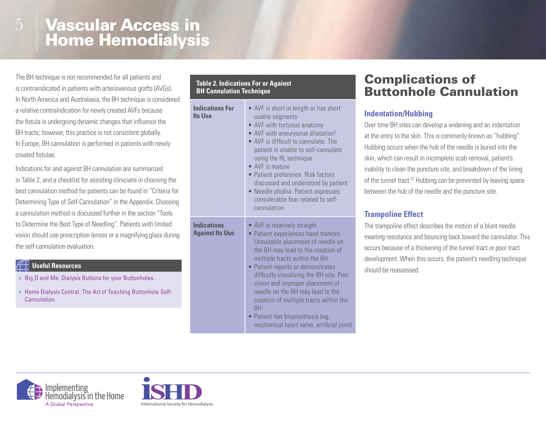The BH technique is not recommended for all patients and is contraindicated in patients with arteriovenous grafts (AVGs). In North America and Australasia, the BH technique is considered a relative contraindication for newly created AVFs because the fistula is undergoing dynamic changes that influence the BH tracts; however, this practice is not consistent globally. In Europe, BH cannulation is performed in patients with newly created fistulae.

Indications for and against BH cannulation are summarized in Table 2, and a checklist for assisting clinicians in choosing the best cannulation method for patients can be found in "Criteria for Determining Type of Self-Cannulation" in the Appendix. Choosing a cannulation method is discussed further in the section "Tools to Determine the Best Type of Needling". Patients with limited vision should use prescription lenses or a magnifying glass during the self-cannulation evaluation.

5

- Big D and Me. Dialysis Buttons for your Buttonholes.
- » Home Dialysis Central. The Art of Teaching Buttonhole Self-Cannulation.

#### **Table 2. Indications For or Against BH Cannulation Technique**

| <u>.ii America anu Australasia, the DiTtechnique is considered</u><br>ive contraindication for newly created AVFs because<br>ula is undergoing dynamic changes that influence the<br>cts; however, this practice is not consistent globally.<br>pe, BH cannulation is performed in patients with newly<br>d fistulae. | <b>Indications For</b><br><b>Its Use</b>     | • AVF is short in length or has short<br>usable segments<br>• AVF with tortuous anatomy<br>• AVF with aneurysmal dilatation <sup>6</sup><br>• AVF is difficult to cannulate. The<br>patient is unable to self-cannulate<br>using the RL technique<br>• AVF is mature                          | <b>Indentation/Hubl</b><br>Over time BH sites car<br>at the entry to the skir<br>Hubbing occurs when<br>skin, which can result |
|-----------------------------------------------------------------------------------------------------------------------------------------------------------------------------------------------------------------------------------------------------------------------------------------------------------------------|----------------------------------------------|-----------------------------------------------------------------------------------------------------------------------------------------------------------------------------------------------------------------------------------------------------------------------------------------------|--------------------------------------------------------------------------------------------------------------------------------|
| ions for and against BH cannulation are summarized<br>e 2, and a checklist for assisting clinicians in choosing the<br>annulation method for patients can be found in "Criteria for<br>nining Type of Self-Cannulation" in the Appendix. Choosing<br>ulation method is discussed further in the section "Tools        |                                              | • Patient preference. Risk factors<br>discussed and understood by patient<br>• Needle phobia. Patient expresses<br>considerable fear related to self-<br>cannulation                                                                                                                          | inability to clean the p<br>of the tunnel tract. <sup>22</sup> H<br>between the hub of th<br><b>Trampoline Effed</b>           |
| ermine the Best Type of Needling". Patients with limited<br>should use prescription lenses or a magnifying glass during<br>f-cannulation evaluation.                                                                                                                                                                  | <b>Indications</b><br><b>Against Its Use</b> | • AVF is relatively straight<br>• Patient experiences hand tremors.<br>Unsuitable placement of needle on<br>the BH may lead to the creation of<br>multiple tracts within the BH                                                                                                               | The trampoline effect<br>meeting resistance an<br>occurs because of a th<br>development. When tl                               |
| <b>Useful Resources</b><br>D and Me. Dialysis Buttons for your Buttonholes.<br>me Dialysis Central. The Art of Teaching Buttonhole Self-<br>nnulation.                                                                                                                                                                |                                              | • Patient reports or demonstrates<br>difficulty visualizing the BH site. Poor<br>vision and improper placement of<br>needle on the BH may lead to the<br>creation of multiple tracts within the<br><b>BH</b><br>• Patient has bioprosthesis (eg,<br>mechanical heart valve, artificial joint) | should be reassessed.                                                                                                          |

### Complications of Buttonhole Cannulation

#### **Indentation/Hubbing**

Over time BH sites can develop a widening and an indentation at the entry to the skin. This is commonly known as "hubbing". Hubbing occurs when the hub of the needle is buried into the skin, which can result in incomplete scab removal, patient's inability to clean the puncture site, and breakdown of the lining of the tunnel tract.<sup>22</sup> Hubbing can be prevented by leaving space between the hub of the needle and the puncture site.

#### **Trampoline Effect**

The trampoline effect describes the motion of a blunt needle meeting resistance and bouncing back toward the cannulator. This occurs because of a thickening of the tunnel tract or poor tract development. When this occurs, the patient's needling technique



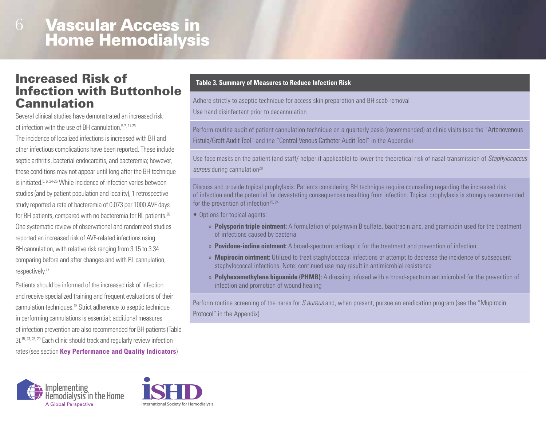### Increased Risk of Infection with Buttonhole Cannulation

Several clinical studies have demonstrated an increased risk of infection with the use of BH cannulation.5-7, 21-26

The incidence of localized infections is increased with BH and other infectious complications have been reported. These include septic arthritis, bacterial endocarditis, and bacteremia; however, these conditions may not appear until long after the BH technique is initiated.<sup>5, 6, 24-26</sup> While incidence of infection varies between studies (and by patient population and locality), 1 retrospective study reported a rate of bacteremia of 0.073 per 1000 AVF days for BH patients, compared with no bacteremia for RL patients.<sup>26</sup> One systematic review of observational and randomized studies reported an increased risk of AVF-related infections using BH cannulation, with relative risk ranging from 3.15 to 3.34 comparing before and after changes and with RL cannulation, respectively.<sup>27</sup>

Patients should be informed of the increased risk of infection and receive specialized training and frequent evaluations of their cannulation techniques.15 Strict adherence to aseptic technique in performing cannulations is essential; additional measures of infection prevention are also recommended for BH patients (Table 3).15, 23, 28, 29 Each clinic should track and regularly review infection rates (see section **Key Performance and Quality Indicators**)

#### **Table 3. Summary of Measures to Reduce Infection Risk**

Adhere strictly to aseptic technique for access skin preparation and BH scab removal

Use hand disinfectant prior to decannulation

Perform routine audit of patient cannulation technique on a quarterly basis (recommended) at clinic visits (see the "Arteriovenous Fistula/Graft Audit Tool" and the "Central Venous Catheter Audit Tool" in the Appendix)

Use face masks on the patient (and staff/ helper if applicable) to lower the theoretical risk of nasal transmission of *Staphylococcus*  aureus during cannulation<sup>28</sup>

Discuss and provide topical prophylaxis: Patients considering BH technique require counseling regarding the increased risk of infection and the potential for devastating consequences resulting from infection. Topical prophylaxis is strongly recommended for the prevention of infection<sup>15, 24</sup>

- Options for topical agents:
	- » **Polysporin triple ointment:** A formulation of polymyxin B sulfate, bacitracin zinc, and gramicidin used for the treatment of infections caused by bacteria
	- » **Povidone-iodine ointment:** A broad-spectrum antiseptic for the treatment and prevention of infection
	- » **Mupirocin ointment:** Utilized to treat staphylococcal infections or attempt to decrease the incidence of subsequent staphylococcal infections. Note: continued use may result in antimicrobial resistance
	- » **Polyhexamethylene biguanide (PHMB):** A dressing infused with a broad-spectrum antimicrobial for the prevention of infection and promotion of wound healing

Perform routine screening of the nares for *S aureus* and, when present, pursue an eradication program (see the "Mupirocin Protocol" in the Appendix)



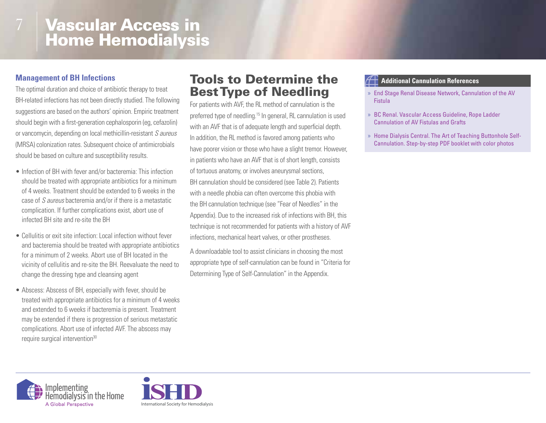#### **Management of BH Infections**

The optimal duration and choice of antibiotic therapy to treat BH-related infections has not been directly studied. The following suggestions are based on the authors' opinion. Empiric treatment should begin with a first-generation cephalosporin (eg, cefazolin) or vancomycin, depending on local methicillin-resistant *S aureus* (MRSA) colonization rates. Subsequent choice of antimicrobials should be based on culture and susceptibility results.

- Infection of BH with fever and/or bacteremia: This infection should be treated with appropriate antibiotics for a minimum of 4 weeks. Treatment should be extended to 6 weeks in the case of *S aureus* bacteremia and/or if there is a metastatic complication. If further complications exist, abort use of infected BH site and re-site the BH
- Cellulitis or exit site infection: Local infection without fever and bacteremia should be treated with appropriate antibiotics for a minimum of 2 weeks. Abort use of BH located in the vicinity of cellulitis and re-site the BH. Reevaluate the need to change the dressing type and cleansing agent
- Abscess: Abscess of BH, especially with fever, should be treated with appropriate antibiotics for a minimum of 4 weeks and extended to 6 weeks if bacteremia is present. Treatment may be extended if there is progression of serious metastatic complications. Abort use of infected AVF. The abscess may require surgical intervention<sup>30</sup>

### Tools to Determine the Best Type of Needling

For patients with AVF, the RL method of cannulation is the preferred type of needling.15 In general, RL cannulation is used with an AVF that is of adequate length and superficial depth. In addition, the RL method is favored among patients who have poorer vision or those who have a slight tremor. However, in patients who have an AVF that is of short length, consists of tortuous anatomy, or involves aneurysmal sections, BH cannulation should be considered (see Table 2). Patients with a needle phobia can often overcome this phobia with the BH cannulation technique (see "Fear of Needles" in the Appendix). Due to the increased risk of infections with BH, this technique is not recommended for patients with a history of AVF infections, mechanical heart valves, or other prostheses.

A downloadable tool to assist clinicians in choosing the most appropriate type of self-cannulation can be found in "Criteria for Determining Type of Self-Cannulation" in the Appendix.

#### **Additional Cannulation References**

- » End Stage Renal Disease Network, Cannulation of the AV Fistula
- » BC Renal. Vascular Access Guideline, Rope Ladder Cannulation of AV Fistulas and Grafts
- » Home Dialysis Central. The Art of Teaching Buttonhole Self-Cannulation. Step-by-step PDF booklet with color photos



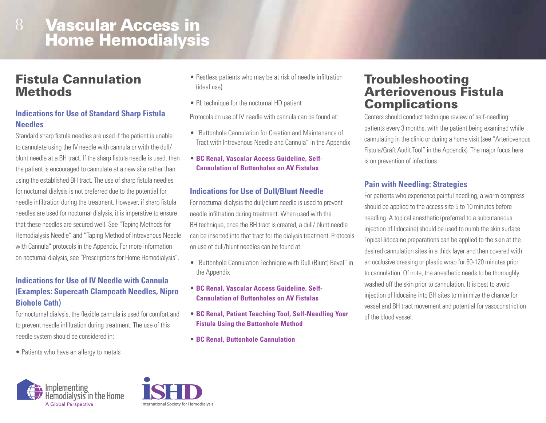### Fistula Cannulation **Methods**

8

#### **Indications for Use of Standard Sharp Fistula Needles**

Standard sharp fistula needles are used if the patient is unable to cannulate using the IV needle with cannula or with the dull/ blunt needle at a BH tract. If the sharp fistula needle is used, then the patient is encouraged to cannulate at a new site rather than using the established BH tract. The use of sharp fistula needles for nocturnal dialysis is not preferred due to the potential for needle infiltration during the treatment. However, if sharp fistula needles are used for nocturnal dialysis, it is imperative to ensure that these needles are secured well. See "Taping Methods for Hemodialysis Needle" and "Taping Method of Intravenous Needle with Cannula" protocols in the Appendix. For more information on nocturnal dialysis, see "Prescriptions for Home Hemodialysis".

#### **Indications for Use of IV Needle with Cannula (Examples: Supercath Clampcath Needles, Nipro Biohole Cath)**

For nocturnal dialysis, the flexible cannula is used for comfort and to prevent needle infiltration during treatment. The use of this needle system should be considered in:

• Patients who have an allergy to metals

- Restless patients who may be at risk of needle infiltration (ideal use)
- RL technique for the nocturnal HD patient

Protocols on use of IV needle with cannula can be found at:

- "Buttonhole Cannulation for Creation and Maintenance of Tract with Intravenous Needle and Cannula" in the Appendix
- **BC Renal, Vascular Access Guideline, Self-Cannulation of Buttonholes on AV Fistulas**

#### **Indications for Use of Dull/Blunt Needle**

For nocturnal dialysis the dull/blunt needle is used to prevent needle infiltration during treatment. When used with the BH technique, once the BH tract is created, a dull/ blunt needle can be inserted into that tract for the dialysis treatment. Protocols on use of dull/blunt needles can be found at:

- "Buttonhole Cannulation Technique with Dull (Blunt) Bevel" in the Appendix
- **BC Renal, Vascular Access Guideline, Self-Cannulation of Buttonholes on AV Fistulas**
- **BC Renal, Patient Teaching Tool, Self-Needling Your Fistula Using the Buttonhole Method**
- **BC Renal, Buttonhole Cannulation**

### **Troubleshooting** Arteriovenous Fistula **Complications**

Centers should conduct technique review of self-needling patients every 3 months, with the patient being examined while cannulating in the clinic or during a home visit (see "Arteriovenous Fistula/Graft Audit Tool" in the Appendix). The major focus here is on prevention of infections.

#### **Pain with Needling: Strategies**

For patients who experience painful needling, a warm compress should be applied to the access site 5 to 10 minutes before needling. A topical anesthetic (preferred to a subcutaneous injection of lidocaine) should be used to numb the skin surface. Topical lidocaine preparations can be applied to the skin at the desired cannulation sites in a thick layer and then covered with an occlusive dressing or plastic wrap for 60-120 minutes prior to cannulation. Of note, the anesthetic needs to be thoroughly washed off the skin prior to cannulation. It is best to avoid injection of lidocaine into BH sites to minimize the chance for vessel and BH tract movement and potential for vasoconstriction of the blood vessel.



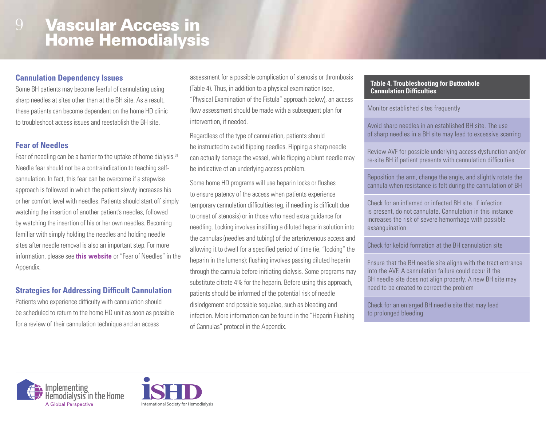#### **Cannulation Dependency Issues**

Some BH patients may become fearful of cannulating using sharp needles at sites other than at the BH site. As a result, these patients can become dependent on the home HD clinic to troubleshoot access issues and reestablish the BH site.

#### **Fear of Needles**

9

Fear of needling can be a barrier to the uptake of home dialysis.<sup>31</sup> Needle fear should not be a contraindication to teaching selfcannulation. In fact, this fear can be overcome if a stepwise approach is followed in which the patient slowly increases his or her comfort level with needles. Patients should start off simply watching the insertion of another patient's needles, followed by watching the insertion of his or her own needles. Becoming familiar with simply holding the needles and holding needle sites after needle removal is also an important step. For more information, please see **this website** or "Fear of Needles" in the Appendix.

#### **Strategies for Addressing Difficult Cannulation**

Patients who experience difficulty with cannulation should be scheduled to return to the home HD unit as soon as possible for a review of their cannulation technique and an access

assessment for a possible complication of stenosis or thrombosis (Table 4). Thus, in addition to a physical examination (see, "Physical Examination of the Fistula" approach below), an access flow assessment should be made with a subsequent plan for intervention, if needed.

Regardless of the type of cannulation, patients should be instructed to avoid flipping needles. Flipping a sharp needle can actually damage the vessel, while flipping a blunt needle may be indicative of an underlying access problem.

Some home HD programs will use heparin locks or flushes to ensure patency of the access when patients experience temporary cannulation difficulties (eg, if needling is difficult due to onset of stenosis) or in those who need extra guidance for needling. Locking involves instilling a diluted heparin solution into the cannulas (needles and tubing) of the arteriovenous access and allowing it to dwell for a specified period of time (ie, "locking" the heparin in the lumens); flushing involves passing diluted heparin through the cannula before initiating dialysis. Some programs may substitute citrate 4% for the heparin. Before using this approach, patients should be informed of the potential risk of needle dislodgement and possible sequelae, such as bleeding and infection. More information can be found in the "Heparin Flushing of Cannulas" protocol in the Appendix.

#### **Table 4. Troubleshooting for Buttonhole Cannulation Difficulties**

Monitor established sites frequently

Avoid sharp needles in an established BH site. The use of sharp needles in a BH site may lead to excessive scarring

Review AVF for possible underlying access dysfunction and/or re-site BH if patient presents with cannulation difficulties

Reposition the arm, change the angle, and slightly rotate the cannula when resistance is felt during the cannulation of BH

Check for an inflamed or infected BH site. If infection is present, do not cannulate. Cannulation in this instance increases the risk of severe hemorrhage with possible exsanguination

Check for keloid formation at the BH cannulation site

Ensure that the BH needle site aligns with the tract entrance into the AVF. A cannulation failure could occur if the BH needle site does not align properly. A new BH site may need to be created to correct the problem

Check for an enlarged BH needle site that may lead to prolonged bleeding



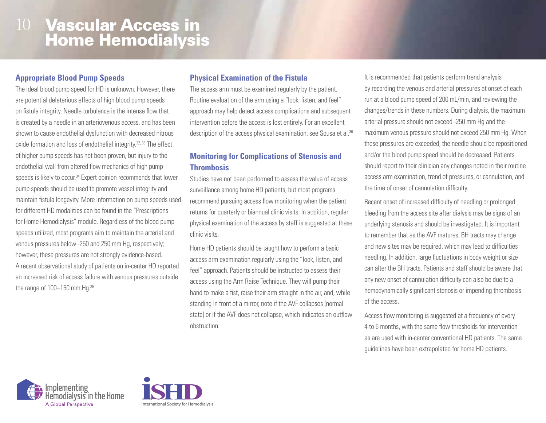#### **Appropriate Blood Pump Speeds**

The ideal blood pump speed for HD is unknown. However, there are potential deleterious effects of high blood pump speeds on fistula integrity. Needle turbulence is the intense flow that is created by a needle in an arteriovenous access, and has been shown to cause endothelial dysfunction with decreased nitrous oxide formation and loss of endothelial integrity.<sup>32, 33</sup> The effect of higher pump speeds has not been proven, but injury to the endothelial wall from altered flow mechanics of high pump speeds is likely to occur.<sup>34</sup> Expert opinion recommends that lower pump speeds should be used to promote vessel integrity and maintain fistula longevity. More information on pump speeds used for different HD modalities can be found in the "Prescriptions for Home Hemodialysis" module. Regardless of the blood pump speeds utilized, most programs aim to maintain the arterial and venous pressures below -250 and 250 mm Hg, respectively; however, these pressures are not strongly evidence-based. A recent observational study of patients on in-center HD reported an increased risk of access failure with venous pressures outside the range of 100-150 mm Hg.<sup>35</sup>

#### **Physical Examination of the Fistula**

The access arm must be examined regularly by the patient. Routine evaluation of the arm using a "look, listen, and feel" approach may help detect access complications and subsequent intervention before the access is lost entirely. For an excellent description of the access physical examination, see Sousa et al.<sup>36</sup>

#### **Monitoring for Complications of Stenosis and Thrombosis**

Studies have not been performed to assess the value of access surveillance among home HD patients, but most programs recommend pursuing access flow monitoring when the patient returns for quarterly or biannual clinic visits. In addition, regular physical examination of the access by staff is suggested at these clinic visits.

Home HD patients should be taught how to perform a basic access arm examination regularly using the "look, listen, and feel" approach. Patients should be instructed to assess their access using the Arm Raise Technique. They will pump their hand to make a fist, raise their arm straight in the air, and, while standing in front of a mirror, note if the AVF collapses (normal state) or if the AVF does not collapse, which indicates an outflow obstruction.

It is recommended that patients perform trend analysis by recording the venous and arterial pressures at onset of each run at a blood pump speed of 200 mL/min, and reviewing the changes/trends in these numbers. During dialysis, the maximum arterial pressure should not exceed -250 mm Hg and the maximum venous pressure should not exceed 250 mm Hg. When these pressures are exceeded, the needle should be repositioned and/or the blood pump speed should be decreased. Patients should report to their clinician any changes noted in their routine access arm examination, trend of pressures, or cannulation, and the time of onset of cannulation difficulty.

Recent onset of increased difficulty of needling or prolonged bleeding from the access site after dialysis may be signs of an underlying stenosis and should be investigated. It is important to remember that as the AVF matures, BH tracts may change and new sites may be required, which may lead to difficulties needling. In addition, large fluctuations in body weight or size can alter the BH tracts. Patients and staff should be aware that any new onset of cannulation difficulty can also be due to a hemodynamically significant stenosis or impending thrombosis of the access.

Access flow monitoring is suggested at a frequency of every 4 to 6 months, with the same flow thresholds for intervention as are used with in-center conventional HD patients. The same guidelines have been extrapolated for home HD patients.



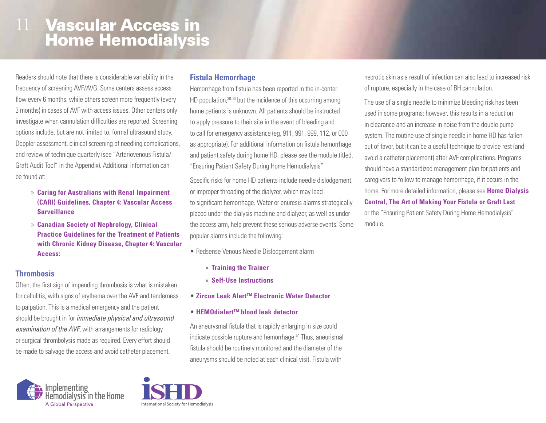Readers should note that there is considerable variability in the frequency of screening AVF/AVG. Some centers assess access flow every 6 months, while others screen more frequently (every 3 months) in cases of AVF with access issues. Other centers only investigate when cannulation difficulties are reported. Screening options include, but are not limited to, formal ultrasound study, Doppler assessment, clinical screening of needling complications, and review of technique quarterly (see "Arteriovenous Fistula/ Graft Audit Tool" in the Appendix). Additional information can be found at:

- » **Caring for Australians with Renal Impairment (CARI) Guidelines, Chapter 4: Vascular Access Surveillance**
- » **Canadian Society of Nephrology, Clinical Practice Guidelines for the Treatment of Patients with Chronic Kidney Disease, Chapter 4: Vascular Access:**

#### **Thrombosis**

Often, the first sign of impending thrombosis is what is mistaken for cellulitis, with signs of erythema over the AVF and tenderness to palpation. This is a medical emergency and the patient should be brought in for *immediate physical and ultrasound examination of the AVF*, with arrangements for radiology or surgical thrombolysis made as required. Every effort should be made to salvage the access and avoid catheter placement.

#### **Fistula Hemorrhage**

Hemorrhage from fistula has been reported in the in-center HD population, $38, 39$  but the incidence of this occurring among home patients is unknown. All patients should be instructed to apply pressure to their site in the event of bleeding and to call for emergency assistance (eg, 911, 991, 999, 112, or 000 as appropriate). For additional information on fistula hemorrhage and patient safety during home HD, please see the module titled, "Ensuring Patient Safety During Home Hemodialysis".

Specific risks for home HD patients include needle dislodgement, or improper threading of the dialyzer, which may lead to significant hemorrhage. Water or enuresis alarms strategically placed under the dialysis machine and dialyzer, as well as under the access arm, help prevent these serious adverse events. Some popular alarms include the following:

- Redsense Venous Needle Dislodgement alarm
	- » **Training the Trainer**
	- » **Self-Use Instructions**
- **Zircon Leak AlertTM Electronic Water Detector**
- **HEMOdialertTM blood leak detector**

An aneurysmal fistula that is rapidly enlarging in size could indicate possible rupture and hemorrhage.<sup>40</sup> Thus, aneurismal fistula should be routinely monitored and the diameter of the aneurysms should be noted at each clinical visit. Fistula with



Global Perspective



necrotic skin as a result of infection can also lead to increased risk of rupture, especially in the case of BH cannulation.

The use of a single needle to minimize bleeding risk has been used in some programs; however, this results in a reduction in clearance and an increase in noise from the double pump system. The routine use of single needle in home HD has fallen out of favor, but it can be a useful technique to provide rest (and avoid a catheter placement) after AVF complications. Programs should have a standardized management plan for patients and caregivers to follow to manage hemorrhage, if it occurs in the home. For more detailed information, please see **Home Dialysis Central, The Art of Making Your Fistula or Graft Last** or the "Ensuring Patient Safety During Home Hemodialysis" module.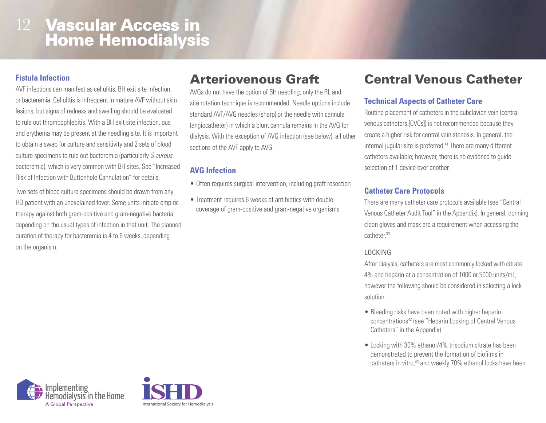#### **Fistula Infection**

AVF infections can manifest as cellulitis, BH exit site infection, or bacteremia. Cellulitis is infrequent in mature AVF without skin lesions, but signs of redness and swelling should be evaluated to rule out thrombophlebitis. With a BH exit site infection, pus and erythema may be present at the needling site. It is important to obtain a swab for culture and sensitivity and 2 sets of blood culture specimens to rule out bacteremia (particularly *S aureus* bacteremia), which is very common with BH sites. See "Increased Risk of Infection with Buttonhole Cannulation" for details.

Two sets of blood culture specimens should be drawn from any HD patient with an unexplained fever. Some units initiate empiric therapy against both gram-positive and gram-negative bacteria, depending on the usual types of infection in that unit. The planned duration of therapy for bacteremia is 4 to 6 weeks, depending on the organism.

# Arteriovenous Graft

AVGs do not have the option of BH needling; only the RL and site rotation technique is recommended. Needle options include standard AVF/AVG needles (sharp) or the needle with cannula (angiocatheter) in which a blunt cannula remains in the AVG for dialysis. With the exception of AVG infection (see below), all other sections of the AVF apply to AVG.

#### **AVG Infection**

- Often requires surgical intervention, including graft resection
- Treatment requires 6 weeks of antibiotics with double coverage of gram-positive and gram-negative organisms

# Central Venous Catheter

#### **Technical Aspects of Catheter Care**

Routine placement of catheters in the subclavian vein (central venous catheters [CVCs]) is not recommended because they create a higher risk for central vein stenosis. In general, the internal jugular site is preferred.<sup>41</sup> There are many different catheters available; however, there is no evidence to guide selection of 1 device over another.

#### **Catheter Care Protocols**

There are many catheter care protocols available (see "Central Venous Catheter Audit Tool" in the Appendix). In general, donning clean gloves and mask are a requirement when accessing the catheter<sup>39</sup>

#### LOCKING

After dialysis, catheters are most commonly locked with citrate 4% and heparin at a concentration of 1000 or 5000 units/mL; however the following should be considered in selecting a lock solution:

- Bleeding risks have been noted with higher heparin concentrations42 (see "Heparin Locking of Central Venous Catheters" in the Appendix)
- Locking with 30% ethanol/4% trisodium citrate has been demonstrated to prevent the formation of biofilms in catheters in vitro,<sup>43</sup> and weekly 70% ethanol locks have been



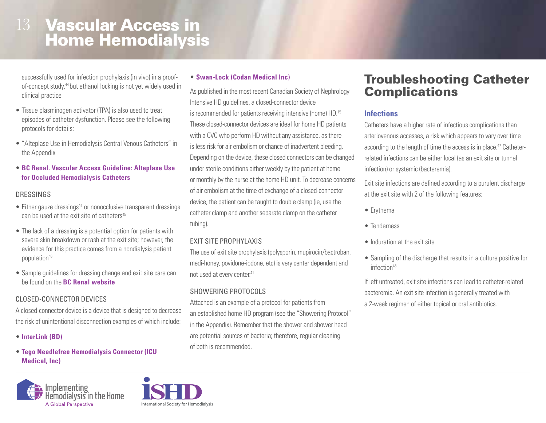successfully used for infection prophylaxis (in vivo) in a proofof-concept study,44 but ethanol locking is not yet widely used in clinical practice

- Tissue plasminogen activator (TPA) is also used to treat episodes of catheter dysfunction. Please see the following protocols for details:
- "Alteplase Use in Hemodialysis Central Venous Catheters" in the Appendix

#### • **BC Renal. Vascular Access Guideline: Alteplase Use for Occluded Hemodialysis Catheters**

#### DRESSINGS

- Either gauze dressings<sup>41</sup> or nonocclusive transparent dressings can be used at the exit site of catheters<sup>45</sup>
- The lack of a dressing is a potential option for patients with severe skin breakdown or rash at the exit site; however, the evidence for this practice comes from a nondialysis patient population<sup>46</sup>
- Sample guidelines for dressing change and exit site care can be found on the **BC Renal website**

#### CLOSED-CONNECTOR DEVICES

A closed-connector device is a device that is designed to decrease the risk of unintentional disconnection examples of which include:

- **InterLink (BD)**
- **Tego Needlefree Hemodialysis Connector (ICU Medical, Inc)**

#### • **Swan-Lock (Codan Medical Inc)**

As published in the most recent Canadian Society of Nephrology Intensive HD guidelines, a closed-connector device is recommended for patients receiving intensive (home) HD.15 These closed-connector devices are ideal for home HD patients with a CVC who perform HD without any assistance, as there is less risk for air embolism or chance of inadvertent bleeding. Depending on the device, these closed connectors can be changed under sterile conditions either weekly by the patient at home or monthly by the nurse at the home HD unit. To decrease concerns of air embolism at the time of exchange of a closed-connector device, the patient can be taught to double clamp (ie, use the catheter clamp and another separate clamp on the catheter tubing).

#### EXIT SITE PROPHYLAXIS

The use of exit site prophylaxis (polysporin, mupirocin/bactroban, medi-honey, povidone-iodone, etc) is very center dependent and not used at every center.<sup>41</sup>

#### SHOWERING PROTOCOLS

Attached is an example of a protocol for patients from an established home HD program (see the "Showering Protocol" in the Appendix). Remember that the shower and shower head are potential sources of bacteria; therefore, regular cleaning of both is recommended.

### Troubleshooting Catheter **Complications**

#### **Infections**

Catheters have a higher rate of infectious complications than arteriovenous accesses, a risk which appears to vary over time according to the length of time the access is in place.<sup>47</sup> Catheterrelated infections can be either local (as an exit site or tunnel infection) or systemic (bacteremia).

Exit site infections are defined according to a purulent discharge at the exit site with 2 of the following features:

- Erythema
- Tenderness
- Induration at the exit site
- Sampling of the discharge that results in a culture positive for infection<sup>48</sup>

If left untreated, exit site infections can lead to catheter-related bacteremia. An exit site infection is generally treated with a 2-week regimen of either topical or oral antibiotics.



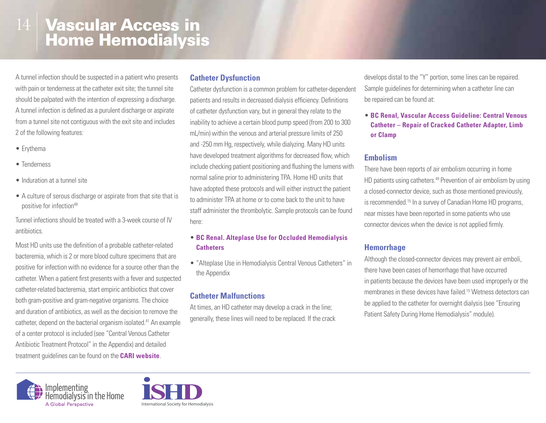A tunnel infection should be suspected in a patient who presents with pain or tenderness at the catheter exit site; the tunnel site should be palpated with the intention of expressing a discharge. A tunnel infection is defined as a purulent discharge or aspirate from a tunnel site not contiguous with the exit site and includes 2 of the following features:

- Erythema
- Tenderness
- Induration at a tunnel site
- A culture of serous discharge or aspirate from that site that is positive for infection<sup>48</sup>

Tunnel infections should be treated with a 3-week course of IV antibiotics.

Most HD units use the definition of a probable catheter-related bacteremia, which is 2 or more blood culture specimens that are positive for infection with no evidence for a source other than the catheter. When a patient first presents with a fever and suspected catheter-related bacteremia, start empiric antibiotics that cover both gram-positive and gram-negative organisms. The choice and duration of antibiotics, as well as the decision to remove the catheter, depend on the bacterial organism isolated.<sup>41</sup> An example of a center protocol is included (see "Central Venous Catheter Antibiotic Treatment Protocol" in the Appendix) and detailed treatment guidelines can be found on the **CARI website**.

#### **Catheter Dysfunction**

Catheter dysfunction is a common problem for catheter-dependent patients and results in decreased dialysis efficiency. Definitions of catheter dysfunction vary, but in general they relate to the inability to achieve a certain blood pump speed (from 200 to 300 mL/min) within the venous and arterial pressure limits of 250 and -250 mm Hg, respectively, while dialyzing. Many HD units have developed treatment algorithms for decreased flow, which include checking patient positioning and flushing the lumens with normal saline prior to administering TPA. Home HD units that have adopted these protocols and will either instruct the patient to administer TPA at home or to come back to the unit to have staff administer the thrombolytic. Sample protocols can be found here:

#### • **BC Renal. Alteplase Use for Occluded Hemodialysis Catheters**

• "Alteplase Use in Hemodialysis Central Venous Catheters" in the Appendix

#### **Catheter Malfunctions**

At times, an HD catheter may develop a crack in the line; generally, these lines will need to be replaced. If the crack develops distal to the "Y" portion, some lines can be repaired. Sample guidelines for determining when a catheter line can be repaired can be found at:

• **BC Renal, Vascular Access Guideline: Central Venous Catheter – Repair of Cracked Catheter Adapter, Limb or Clamp**

#### **Embolism**

There have been reports of air embolism occurring in home HD patients using catheters.<sup>49</sup> Prevention of air embolism by using a closed-connector device, such as those mentioned previously, is recommended.<sup>15</sup> In a survey of Canadian Home HD programs, near misses have been reported in some patients who use connector devices when the device is not applied firmly.

#### **Hemorrhage**

Although the closed-connector devices may prevent air emboli, there have been cases of hemorrhage that have occurred in patients because the devices have been used improperly or the membranes in these devices have failed.<sup>15</sup> Wetness detectors can be applied to the catheter for overnight dialysis (see "Ensuring Patient Safety During Home Hemodialysis" module).



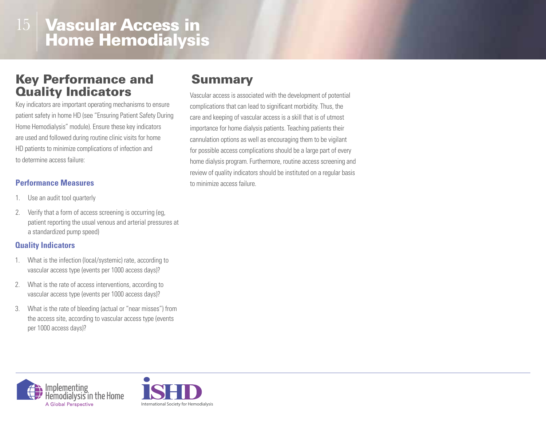### Key Performance and Quality Indicators

Key indicators are important operating mechanisms to ensure patient safety in home HD (see "Ensuring Patient Safety During Home Hemodialysis" module). Ensure these key indicators are used and followed during routine clinic visits for home HD patients to minimize complications of infection and to determine access failure:

#### **Performance Measures**

- 1. Use an audit tool quarterly
- 2. Verify that a form of access screening is occurring (eg, patient reporting the usual venous and arterial pressures at a standardized pump speed)

#### **Quality Indicators**

- 1. What is the infection (local/systemic) rate, according to vascular access type (events per 1000 access days)?
- 2. What is the rate of access interventions, according to vascular access type (events per 1000 access days)?
- 3. What is the rate of bleeding (actual or "near misses") from the access site, according to vascular access type (events per 1000 access days)?

## Summary

Vascular access is associated with the development of potential complications that can lead to significant morbidity. Thus, the care and keeping of vascular access is a skill that is of utmost importance for home dialysis patients. Teaching patients their cannulation options as well as encouraging them to be vigilant for possible access complications should be a large part of every home dialysis program. Furthermore, routine access screening and review of quality indicators should be instituted on a regular basis to minimize access failure.



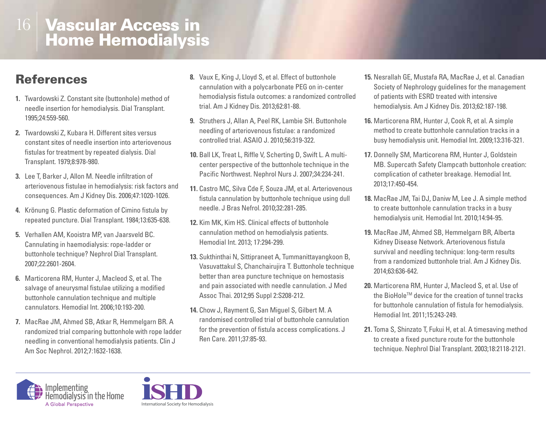# **References**

- **1.** Twardowski Z. Constant site (buttonhole) method of needle insertion for hemodialysis. Dial Transplant. 1995;24:559-560.
- **2.** Twardowski Z, Kubara H. Different sites versus constant sites of needle insertion into arteriovenous fistulas for treatment by repeated dialysis. Dial Transplant. 1979;8:978-980.
- **3.** Lee T, Barker J, Allon M. Needle infiltration of arteriovenous fistulae in hemodialysis: risk factors and consequences. Am J Kidney Dis. 2006;47:1020-1026.
- **4.** Krönung G. Plastic deformation of Cimino fistula by repeated puncture. Dial Transplant. 1984;13:635-638.
- **5.** Verhallen AM, Kooistra MP, van Jaarsveld BC. Cannulating in haemodialysis: rope-ladder or buttonhole technique? Nephrol Dial Transplant. 2007;22:2601-2604.
- **6.** Marticorena RM, Hunter J, Macleod S, et al. The salvage of aneurysmal fistulae utilizing a modified buttonhole cannulation technique and multiple cannulators. Hemodial Int. 2006;10:193-200.
- **7.** MacRae JM, Ahmed SB, Atkar R, Hemmelgarn BR. A randomized trial comparing buttonhole with rope ladder needling in conventional hemodialysis patients. Clin J Am Soc Nephrol. 2012;7:1632-1638.
- **8.** Vaux E, King J, Lloyd S, et al. Effect of buttonhole cannulation with a polycarbonate PEG on in-center hemodialysis fistula outcomes: a randomized controlled trial. Am J Kidney Dis. 2013;62:81-88.
- **9.** Struthers J, Allan A, Peel RK, Lambie SH. Buttonhole needling of arteriovenous fistulae: a randomized controlled trial. ASAIO J. 2010;56:319-322.
- **10.** Ball LK, Treat L, Riffle V, Scherting D, Swift L. A multicenter perspective of the buttonhole technique in the Pacific Northwest. Nephrol Nurs J. 2007;34:234-241.
- **11.** Castro MC, Silva Cde F, Souza JM, et al. Arteriovenous fistula cannulation by buttonhole technique using dull needle. J Bras Nefrol. 2010;32:281-285.
- **12.** Kim MK, Kim HS. Clinical effects of buttonhole cannulation method on hemodialysis patients. Hemodial Int. 2013; 17:294-299.
- **13.** Sukthinthai N, Sittipraneet A, Tummanittayangkoon B, Vasuvattakul S, Chanchairujira T. Buttonhole technique better than area puncture technique on hemostasis and pain associated with needle cannulation. J Med Assoc Thai. 2012;95 Suppl 2:S208-212.
- **14.** Chow J, Rayment G, San Miguel S, Gilbert M. A randomised controlled trial of buttonhole cannulation for the prevention of fistula access complications. J Ren Care. 2011;37:85-93.
- **15.** Nesrallah GE, Mustafa RA, MacRae J, et al. Canadian Society of Nephrology guidelines for the management of patients with ESRD treated with intensive hemodialysis. Am J Kidney Dis. 2013;62:187-198.
- **16.** Marticorena RM, Hunter J, Cook R, et al. A simple method to create buttonhole cannulation tracks in a busy hemodialysis unit. Hemodial Int. 2009;13:316-321.
- **17.** Donnelly SM, Marticorena RM, Hunter J, Goldstein MB. Supercath Safety Clampcath buttonhole creation: complication of catheter breakage. Hemodial Int. 2013;17:450-454.
- **18.** MacRae JM, Tai DJ, Daniw M, Lee J. A simple method to create buttonhole cannulation tracks in a busy hemodialysis unit. Hemodial Int. 2010;14:94-95.
- **19.** MacRae JM, Ahmed SB, Hemmelgarn BR, Alberta Kidney Disease Network. Arteriovenous fistula survival and needling technique: long-term results from a randomized buttonhole trial. Am J Kidney Dis. 2014;63:636-642.
- **20.** Marticorena RM, Hunter J, Macleod S, et al. Use of the BioHole™ device for the creation of tunnel tracks for buttonhole cannulation of fistula for hemodialysis. Hemodial Int. 2011;15:243-249.
- **21.** Toma S, Shinzato T, Fukui H, et al. A timesaving method to create a fixed puncture route for the buttonhole technique. Nephrol Dial Transplant. 2003;18:2118-2121.



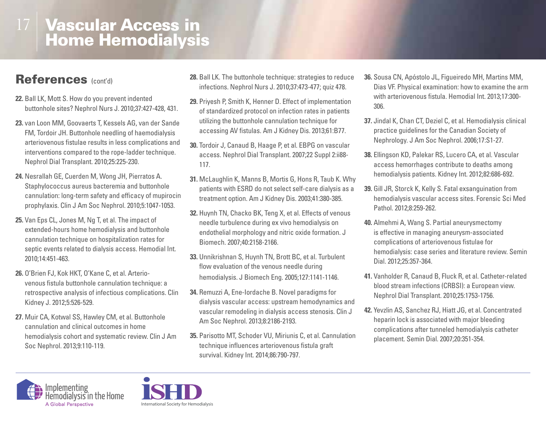## References (cont'd)

- **22.** Ball LK, Mott S. How do you prevent indented buttonhole sites? Nephrol Nurs J. 2010;37:427-428, 431.
- **23.** van Loon MM, Goovaerts T, Kessels AG, van der Sande FM, Tordoir JH. Buttonhole needling of haemodialysis arteriovenous fistulae results in less complications and interventions compared to the rope-ladder technique. Nephrol Dial Transplant. 2010;25:225-230.
- **24.** Nesrallah GE, Cuerden M, Wong JH, Pierratos A. Staphylococcus aureus bacteremia and buttonhole cannulation: long-term safety and efficacy of mupirocin prophylaxis. Clin J Am Soc Nephrol. 2010;5:1047-1053.
- **25.** Van Eps CL, Jones M, Ng T, et al. The impact of extended-hours home hemodialysis and buttonhole cannulation technique on hospitalization rates for septic events related to dialysis access. Hemodial Int. 2010;14:451-463.
- **26.** O'Brien FJ, Kok HKT, O'Kane C, et al. Arteriovenous fistula buttonhole cannulation technique: a retrospective analysis of infectious complications. Clin Kidney J. 2012;5:526-529.
- **27.** Muir CA, Kotwal SS, Hawley CM, et al. Buttonhole cannulation and clinical outcomes in home hemodialysis cohort and systematic review. Clin J Am Soc Nephrol. 2013;9:110-119.
- **28.** Ball LK. The buttonhole technique: strategies to reduce infections. Nephrol Nurs J. 2010;37:473-477; quiz 478.
- **29.** Priyesh P, Smith K, Henner D. Effect of implementation of standardized protocol on infection rates in patients utilizing the buttonhole cannulation technique for accessing AV fistulas. Am J Kidney Dis. 2013;61:B77.
- **30.** Tordoir J, Canaud B, Haage P, et al. EBPG on vascular access. Nephrol Dial Transplant. 2007;22 Suppl 2:ii88- 117.
- **31.** McLaughlin K, Manns B, Mortis G, Hons R, Taub K. Why patients with ESRD do not select self-care dialysis as a treatment option. Am J Kidney Dis. 2003;41:380-385.
- **32.** Huynh TN, Chacko BK, Teng X, et al. Effects of venous needle turbulence during ex vivo hemodialysis on endothelial morphology and nitric oxide formation. J Biomech. 2007;40:2158-2166.
- **33.** Unnikrishnan S, Huynh TN, Brott BC, et al. Turbulent flow evaluation of the venous needle during hemodialysis. J Biomech Eng. 2005;127:1141-1146.
- **34.** Remuzzi A, Ene-Iordache B. Novel paradigms for dialysis vascular access: upstream hemodynamics and vascular remodeling in dialysis access stenosis. Clin J Am Soc Nephrol. 2013;8:2186-2193.
- **35.** Parisotto MT, Schoder VU, Miriunis C, et al. Cannulation technique influences arteriovenous fistula graft survival. Kidney Int. 2014;86:790-797.
- **36.** Sousa CN, Apóstolo JL, Figueiredo MH, Martins MM, Dias VF. Physical examination: how to examine the arm with arteriovenous fistula. Hemodial Int. 2013;17:300- 306.
- **37.** Jindal K, Chan CT, Deziel C, et al. Hemodialysis clinical practice guidelines for the Canadian Society of Nephrology. J Am Soc Nephrol. 2006;17:S1-27.
- **38.** Ellingson KD, Palekar RS, Lucero CA, et al. Vascular access hemorrhages contribute to deaths among hemodialysis patients. Kidney Int. 2012;82:686-692.
- **39.** Gill JR, Storck K, Kelly S. Fatal exsanguination from hemodialysis vascular access sites. Forensic Sci Med Pathol. 2012;8:259-262.
- **40.** Almehmi A, Wang S. Partial aneurysmectomy is effective in managing aneurysm-associated complications of arteriovenous fistulae for hemodialysis: case series and literature review. Semin Dial. 2012;25:357-364.
- **41.** Vanholder R, Canaud B, Fluck R, et al. Catheter-related blood stream infections (CRBSI): a European view. Nephrol Dial Transplant. 2010;25:1753-1756.
- **42.** Yevzlin AS, Sanchez RJ, Hiatt JG, et al. Concentrated heparin lock is associated with major bleeding complications after tunneled hemodialysis catheter placement. Semin Dial. 2007;20:351-354.